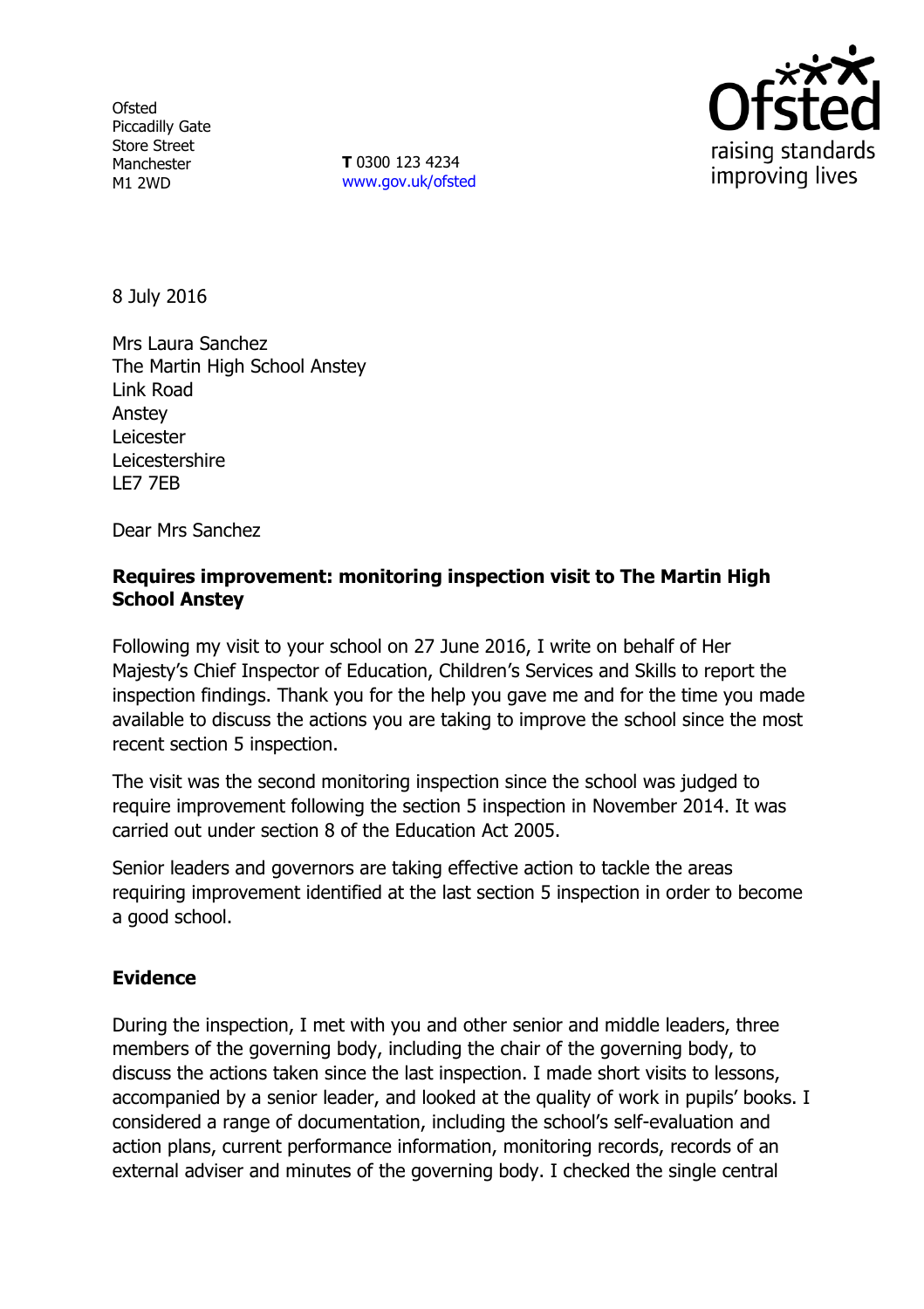**Ofsted** Piccadilly Gate Store Street Manchester M1 2WD

**T** 0300 123 4234 www.gov.uk/ofsted



8 July 2016

Mrs Laura Sanchez The Martin High School Anstey Link Road Anstey **Leicester Leicestershire** LE7 7EB

Dear Mrs Sanchez

### **Requires improvement: monitoring inspection visit to The Martin High School Anstey**

Following my visit to your school on 27 June 2016, I write on behalf of Her Majesty's Chief Inspector of Education, Children's Services and Skills to report the inspection findings. Thank you for the help you gave me and for the time you made available to discuss the actions you are taking to improve the school since the most recent section 5 inspection.

The visit was the second monitoring inspection since the school was judged to require improvement following the section 5 inspection in November 2014. It was carried out under section 8 of the Education Act 2005.

Senior leaders and governors are taking effective action to tackle the areas requiring improvement identified at the last section 5 inspection in order to become a good school.

# **Evidence**

During the inspection, I met with you and other senior and middle leaders, three members of the governing body, including the chair of the governing body, to discuss the actions taken since the last inspection. I made short visits to lessons, accompanied by a senior leader, and looked at the quality of work in pupils' books. I considered a range of documentation, including the school's self-evaluation and action plans, current performance information, monitoring records, records of an external adviser and minutes of the governing body. I checked the single central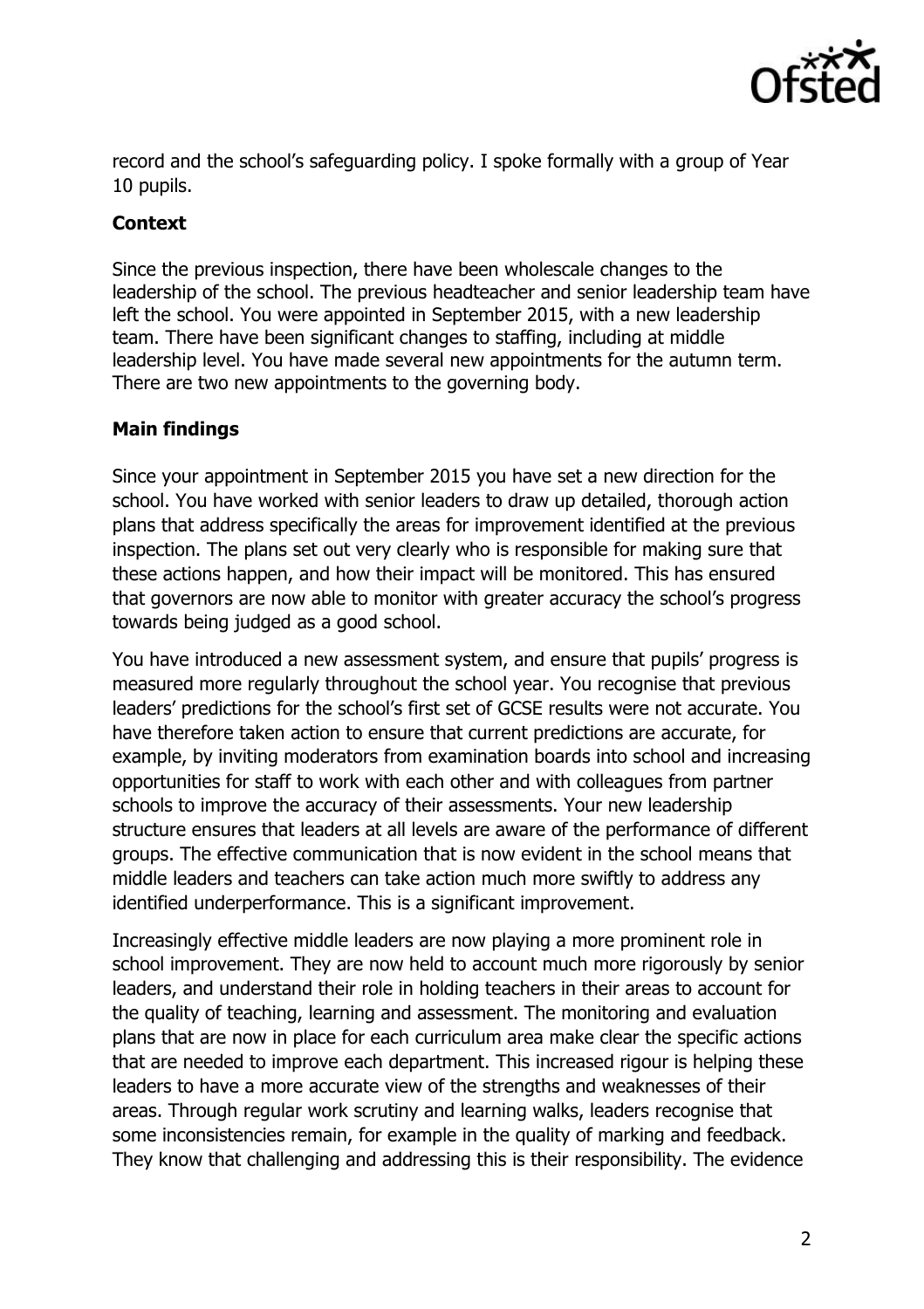

record and the school's safeguarding policy. I spoke formally with a group of Year 10 pupils.

### **Context**

Since the previous inspection, there have been wholescale changes to the leadership of the school. The previous headteacher and senior leadership team have left the school. You were appointed in September 2015, with a new leadership team. There have been significant changes to staffing, including at middle leadership level. You have made several new appointments for the autumn term. There are two new appointments to the governing body.

# **Main findings**

Since your appointment in September 2015 you have set a new direction for the school. You have worked with senior leaders to draw up detailed, thorough action plans that address specifically the areas for improvement identified at the previous inspection. The plans set out very clearly who is responsible for making sure that these actions happen, and how their impact will be monitored. This has ensured that governors are now able to monitor with greater accuracy the school's progress towards being judged as a good school.

You have introduced a new assessment system, and ensure that pupils' progress is measured more regularly throughout the school year. You recognise that previous leaders' predictions for the school's first set of GCSE results were not accurate. You have therefore taken action to ensure that current predictions are accurate, for example, by inviting moderators from examination boards into school and increasing opportunities for staff to work with each other and with colleagues from partner schools to improve the accuracy of their assessments. Your new leadership structure ensures that leaders at all levels are aware of the performance of different groups. The effective communication that is now evident in the school means that middle leaders and teachers can take action much more swiftly to address any identified underperformance. This is a significant improvement.

Increasingly effective middle leaders are now playing a more prominent role in school improvement. They are now held to account much more rigorously by senior leaders, and understand their role in holding teachers in their areas to account for the quality of teaching, learning and assessment. The monitoring and evaluation plans that are now in place for each curriculum area make clear the specific actions that are needed to improve each department. This increased rigour is helping these leaders to have a more accurate view of the strengths and weaknesses of their areas. Through regular work scrutiny and learning walks, leaders recognise that some inconsistencies remain, for example in the quality of marking and feedback. They know that challenging and addressing this is their responsibility. The evidence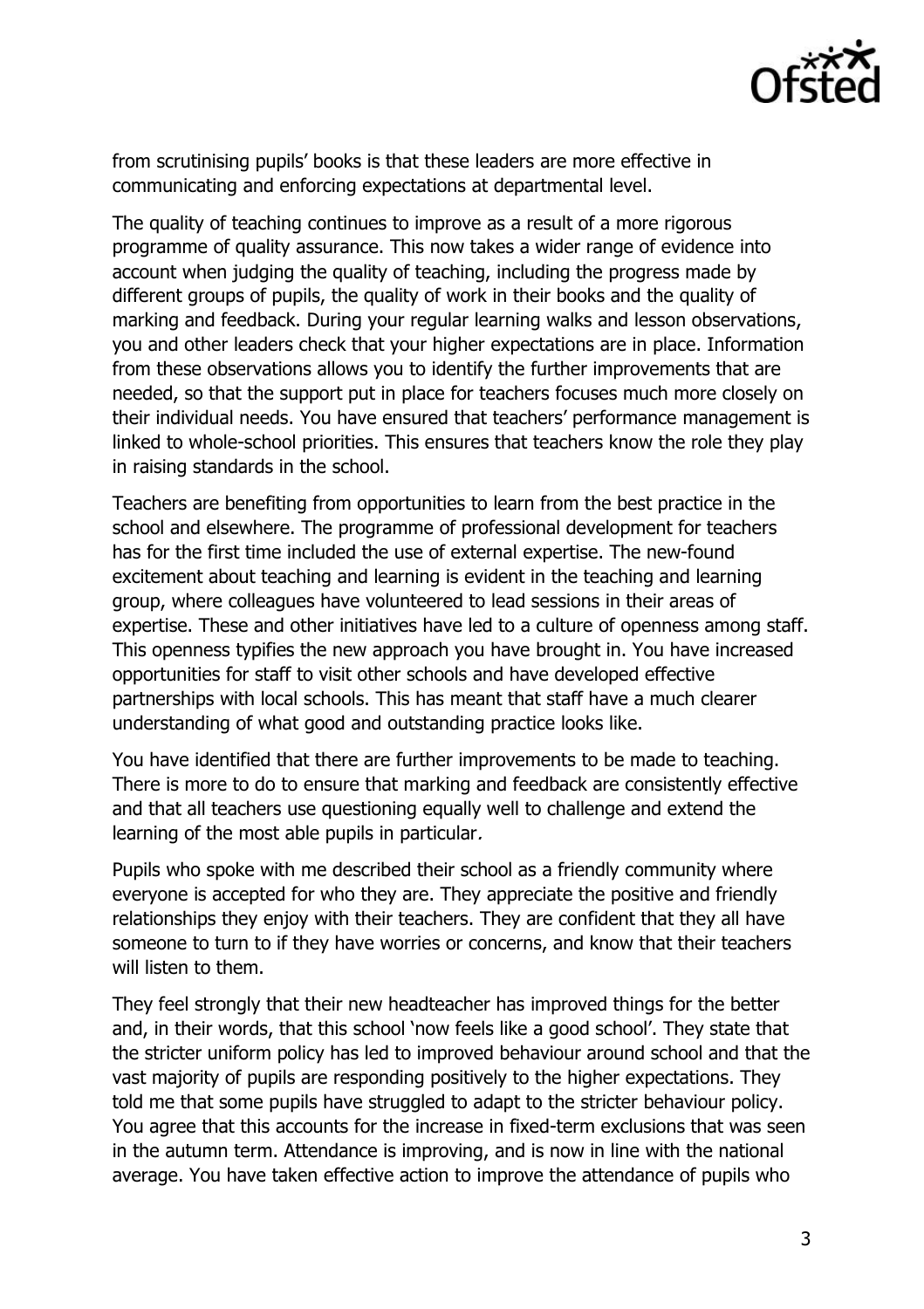

from scrutinising pupils' books is that these leaders are more effective in communicating and enforcing expectations at departmental level.

The quality of teaching continues to improve as a result of a more rigorous programme of quality assurance. This now takes a wider range of evidence into account when judging the quality of teaching, including the progress made by different groups of pupils, the quality of work in their books and the quality of marking and feedback. During your regular learning walks and lesson observations, you and other leaders check that your higher expectations are in place. Information from these observations allows you to identify the further improvements that are needed, so that the support put in place for teachers focuses much more closely on their individual needs. You have ensured that teachers' performance management is linked to whole-school priorities. This ensures that teachers know the role they play in raising standards in the school.

Teachers are benefiting from opportunities to learn from the best practice in the school and elsewhere. The programme of professional development for teachers has for the first time included the use of external expertise. The new-found excitement about teaching and learning is evident in the teaching and learning group, where colleagues have volunteered to lead sessions in their areas of expertise. These and other initiatives have led to a culture of openness among staff. This openness typifies the new approach you have brought in. You have increased opportunities for staff to visit other schools and have developed effective partnerships with local schools. This has meant that staff have a much clearer understanding of what good and outstanding practice looks like.

You have identified that there are further improvements to be made to teaching. There is more to do to ensure that marking and feedback are consistently effective and that all teachers use questioning equally well to challenge and extend the learning of the most able pupils in particular.

Pupils who spoke with me described their school as a friendly community where everyone is accepted for who they are. They appreciate the positive and friendly relationships they enjoy with their teachers. They are confident that they all have someone to turn to if they have worries or concerns, and know that their teachers will listen to them.

They feel strongly that their new headteacher has improved things for the better and, in their words, that this school 'now feels like a good school'. They state that the stricter uniform policy has led to improved behaviour around school and that the vast majority of pupils are responding positively to the higher expectations. They told me that some pupils have struggled to adapt to the stricter behaviour policy. You agree that this accounts for the increase in fixed-term exclusions that was seen in the autumn term. Attendance is improving, and is now in line with the national average. You have taken effective action to improve the attendance of pupils who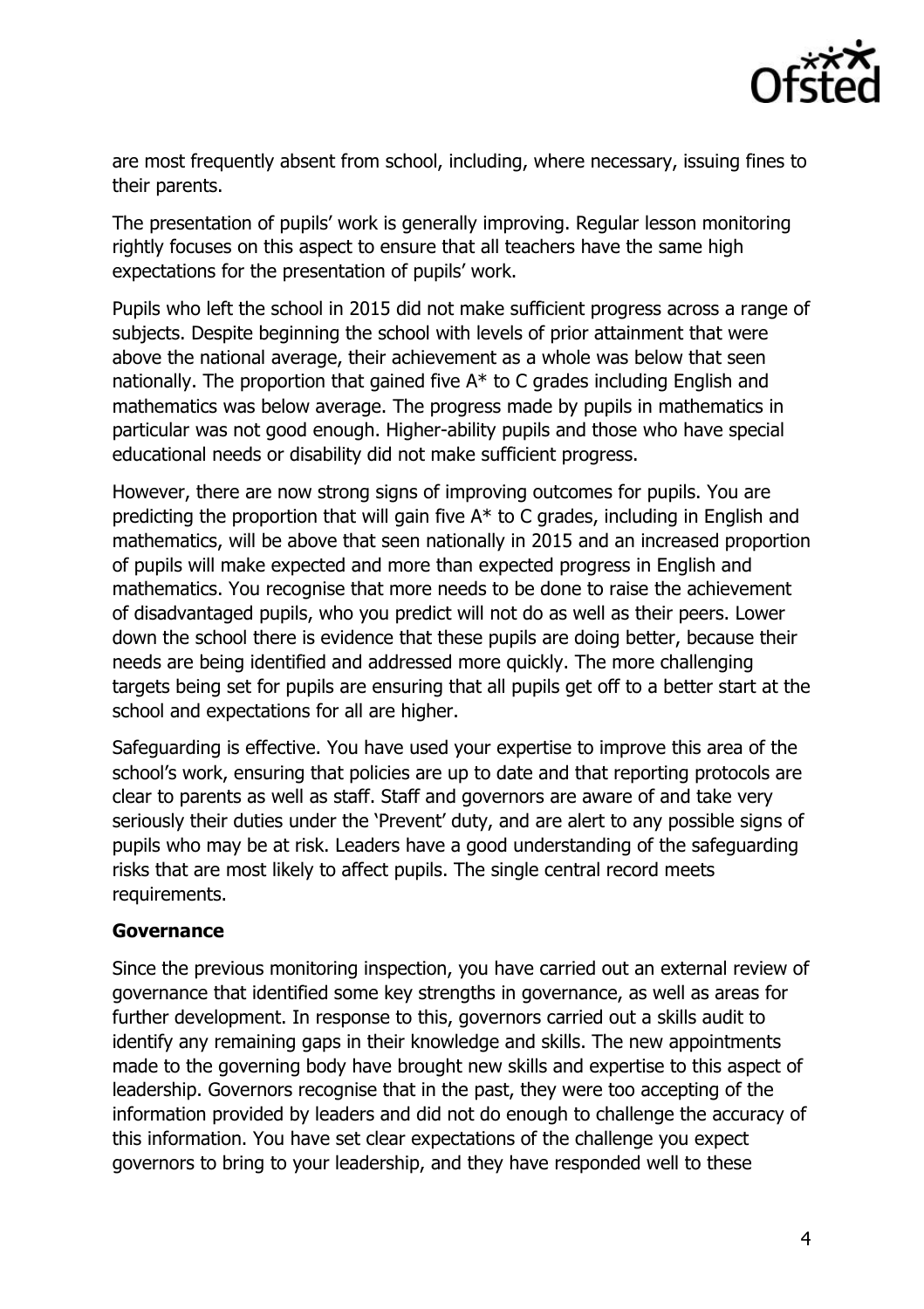

are most frequently absent from school, including, where necessary, issuing fines to their parents.

The presentation of pupils' work is generally improving. Regular lesson monitoring rightly focuses on this aspect to ensure that all teachers have the same high expectations for the presentation of pupils' work.

Pupils who left the school in 2015 did not make sufficient progress across a range of subjects. Despite beginning the school with levels of prior attainment that were above the national average, their achievement as a whole was below that seen nationally. The proportion that gained five  $A^*$  to C grades including English and mathematics was below average. The progress made by pupils in mathematics in particular was not good enough. Higher-ability pupils and those who have special educational needs or disability did not make sufficient progress.

However, there are now strong signs of improving outcomes for pupils. You are predicting the proportion that will gain five A\* to C grades, including in English and mathematics, will be above that seen nationally in 2015 and an increased proportion of pupils will make expected and more than expected progress in English and mathematics. You recognise that more needs to be done to raise the achievement of disadvantaged pupils, who you predict will not do as well as their peers. Lower down the school there is evidence that these pupils are doing better, because their needs are being identified and addressed more quickly. The more challenging targets being set for pupils are ensuring that all pupils get off to a better start at the school and expectations for all are higher.

Safeguarding is effective. You have used your expertise to improve this area of the school's work, ensuring that policies are up to date and that reporting protocols are clear to parents as well as staff. Staff and governors are aware of and take very seriously their duties under the 'Prevent' duty, and are alert to any possible signs of pupils who may be at risk. Leaders have a good understanding of the safeguarding risks that are most likely to affect pupils. The single central record meets requirements.

#### **Governance**

Since the previous monitoring inspection, you have carried out an external review of governance that identified some key strengths in governance, as well as areas for further development. In response to this, governors carried out a skills audit to identify any remaining gaps in their knowledge and skills. The new appointments made to the governing body have brought new skills and expertise to this aspect of leadership. Governors recognise that in the past, they were too accepting of the information provided by leaders and did not do enough to challenge the accuracy of this information. You have set clear expectations of the challenge you expect governors to bring to your leadership, and they have responded well to these